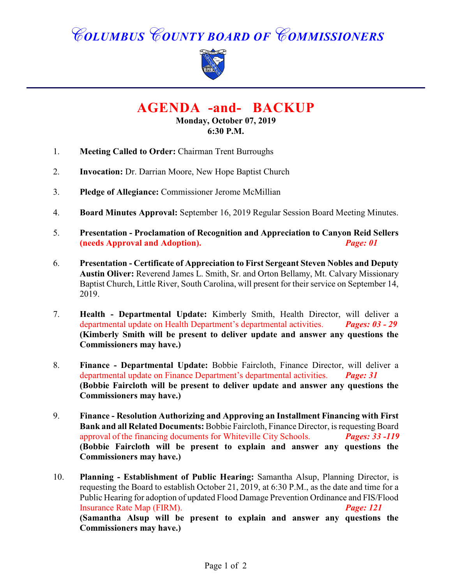*COLUMBUS COUNTY BOARD OF COMMISSIONERS*



**AGENDA -and- BACKUP**

**Monday, October 07, 2019 6:30 P.M.**

- 1. **Meeting Called to Order:** Chairman Trent Burroughs
- 2. **Invocation:** Dr. Darrian Moore, New Hope Baptist Church
- 3. **Pledge of Allegiance:** Commissioner Jerome McMillian
- 4. **Board Minutes Approval:** September 16, 2019 Regular Session Board Meeting Minutes.
- 5. **Presentation Proclamation of Recognition and Appreciation to Canyon Reid Sellers (needs Approval and Adoption).** *Page: 01*
- 6. **Presentation Certificate of Appreciation to First Sergeant Steven Nobles and Deputy Austin Oliver:** Reverend James L. Smith, Sr. and Orton Bellamy, Mt. Calvary Missionary Baptist Church, Little River, South Carolina, will present for their service on September 14, 2019.
- 7. **Health Departmental Update:** Kimberly Smith, Health Director, will deliver a departmental update on Health Department's departmental activities. *Pages: 03 - 29* **(Kimberly Smith will be present to deliver update and answer any questions the Commissioners may have.)**
- 8. **Finance Departmental Update:** Bobbie Faircloth, Finance Director, will deliver a departmental update on Finance Department's departmental activities. *Page: 31* **(Bobbie Faircloth will be present to deliver update and answer any questions the Commissioners may have.)**
- 9. **Finance Resolution Authorizing and Approving an Installment Financing with First Bank and all Related Documents:** Bobbie Faircloth, Finance Director, is requesting Board approval of the financing documents for Whiteville City Schools. *Pages: 33 -119* **(Bobbie Faircloth will be present to explain and answer any questions the Commissioners may have.)**
- 10. **Planning Establishment of Public Hearing:** Samantha Alsup, Planning Director, is requesting the Board to establish October 21, 2019, at 6:30 P.M., as the date and time for a Public Hearing for adoption of updated Flood Damage Prevention Ordinance and FIS/Flood Insurance Rate Map (FIRM). *Page: 121* **(Samantha Alsup will be present to explain and answer any questions the Commissioners may have.)**